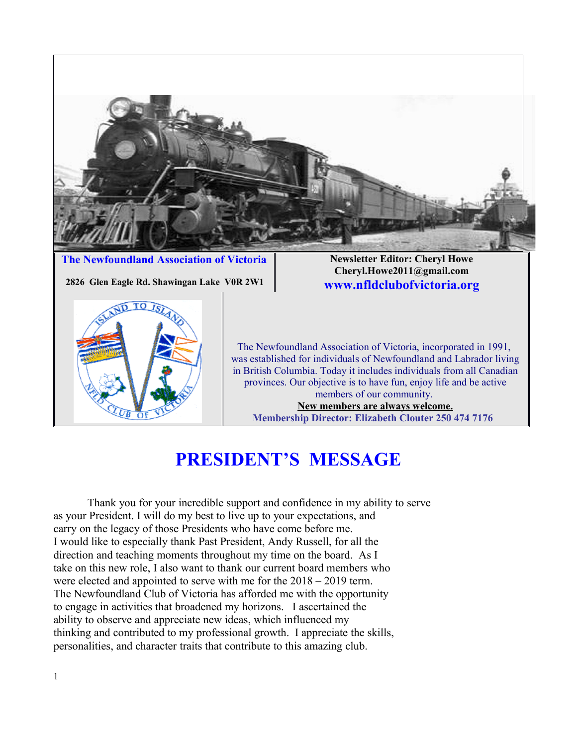

**The Newfoundland Association of Victoria Newsletter Editor: Cheryl Howe** 

 **2826 Glen Eagle Rd. Shawingan Lake VOR 2W1 Www.nfldclubofvictoria.org** 

**Cheryl.Howe2011@gmail.com**



The Newfoundland Association of Victoria, incorporated in 1991, was established for individuals of Newfoundland and Labrador living in British Columbia. Today it includes individuals from all Canadian provinces. Our objective is to have fun, enjoy life and be active members of our community. **New members are always welcome. Membership Director: Elizabeth Clouter 250 474 7176** 

## **PRESIDENT'S MESSAGE**

Thank you for your incredible support and confidence in my ability to serve as your President. I will do my best to live up to your expectations, and carry on the legacy of those Presidents who have come before me. I would like to especially thank Past President, Andy Russell, for all the direction and teaching moments throughout my time on the board. As I take on this new role, I also want to thank our current board members who were elected and appointed to serve with me for the 2018 – 2019 term. The Newfoundland Club of Victoria has afforded me with the opportunity to engage in activities that broadened my horizons. I ascertained the ability to observe and appreciate new ideas, which influenced my thinking and contributed to my professional growth. I appreciate the skills, personalities, and character traits that contribute to this amazing club.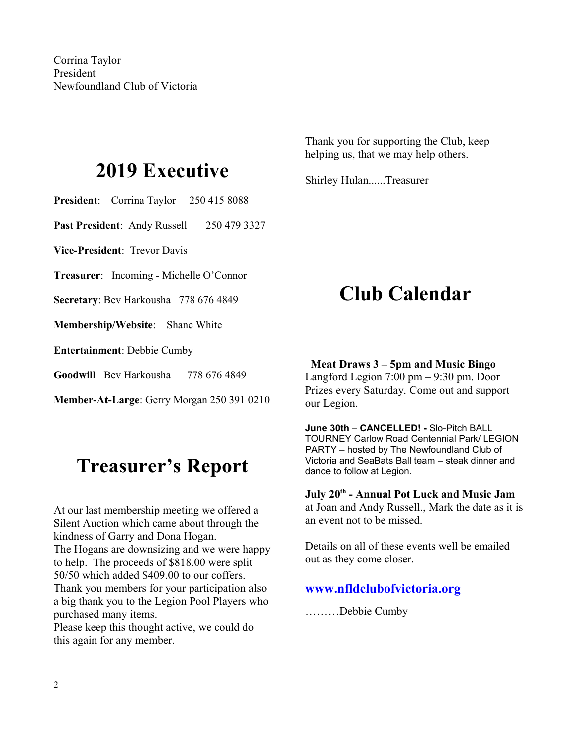## **2019 Executive**

**President**: Corrina Taylor 250 415 8088

Past President: Andy Russell 250 479 3327

**Vice-President**: Trevor Davis

**Treasurer**: Incoming - Michelle O'Connor

**Secretary**: Bev Harkousha 778 676 4849

**Membership/Website**: Shane White

**Entertainment**: Debbie Cumby

**Goodwill** Bev Harkousha 778 676 4849

**Member-At-Large**: Gerry Morgan 250 391 0210

## **Treasurer's Report**

At our last membership meeting we offered a Silent Auction which came about through the kindness of Garry and Dona Hogan. The Hogans are downsizing and we were happy to help. The proceeds of \$818.00 were split 50/50 which added \$409.00 to our coffers. Thank you members for your participation also a big thank you to the Legion Pool Players who purchased many items.

Please keep this thought active, we could do this again for any member.

Thank you for supporting the Club, keep helping us, that we may help others.

Shirley Hulan......Treasurer

## **Club Calendar**

#### **Meat Draws 3 – 5pm and Music Bingo** –

Langford Legion 7:00 pm – 9:30 pm. Door Prizes every Saturday. Come out and support our Legion.

**June 30th** – **CANCELLED! -** Slo-Pitch BALL TOURNEY Carlow Road Centennial Park/ LEGION PARTY – hosted by The Newfoundland Club of Victoria and SeaBats Ball team – steak dinner and dance to follow at Legion.

**July 20th - Annual Pot Luck and Music Jam** at Joan and Andy Russell., Mark the date as it is an event not to be missed.

Details on all of these events well be emailed out as they come closer.

#### **www.nfldclubofvictoria.org**

………Debbie Cumby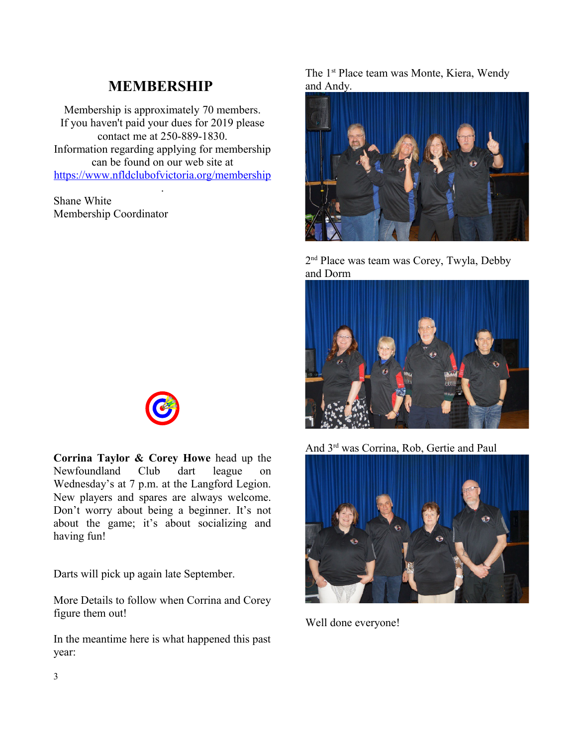### **MEMBERSHIP**

Membership is approximately 70 members. If you haven't paid your dues for 2019 please contact me at 250-889-1830. Information regarding applying for membership can be found on our web site at <https://www.nfldclubofvictoria.org/membership>

.

Shane White Membership Coordinator



**Corrina Taylor & Corey Howe** head up the Newfoundland Club dart league on Wednesday's at 7 p.m. at the Langford Legion. New players and spares are always welcome. Don't worry about being a beginner. It's not about the game; it's about socializing and having fun!

Darts will pick up again late September.

More Details to follow when Corrina and Corey figure them out!

In the meantime here is what happened this past year:

The 1<sup>st</sup> Place team was Monte, Kiera, Wendy and Andy.



2 nd Place was team was Corey, Twyla, Debby and Dorm



And 3rd was Corrina, Rob, Gertie and Paul



Well done everyone!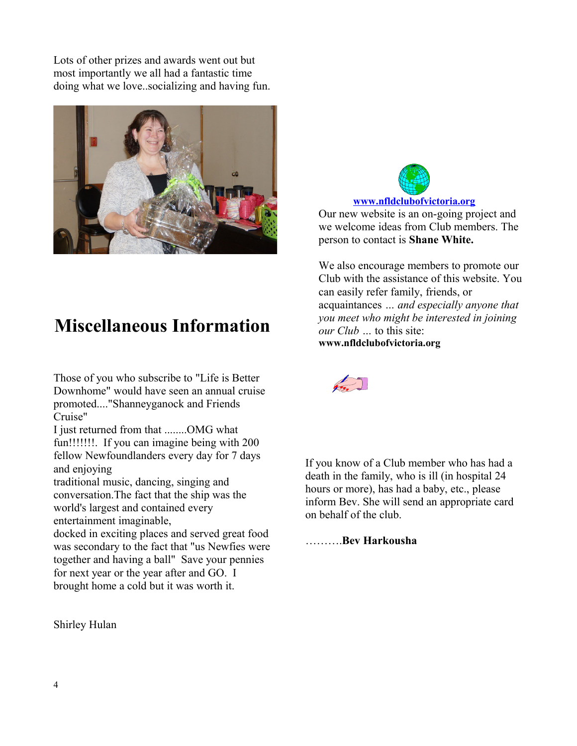Lots of other prizes and awards went out but most importantly we all had a fantastic time doing what we love..socializing and having fun.



### **Miscellaneous Information**

Those of you who subscribe to "Life is Better Downhome" would have seen an annual cruise promoted...."Shanneyganock and Friends Cruise"

I just returned from that ........OMG what fun!!!!!!!. If you can imagine being with 200 fellow Newfoundlanders every day for 7 days and enjoying

traditional music, dancing, singing and conversation.The fact that the ship was the world's largest and contained every entertainment imaginable,

docked in exciting places and served great food was secondary to the fact that "us Newfies were together and having a ball" Save your pennies for next year or the year after and GO. I brought home a cold but it was worth it.

Shirley Hulan



Our new website is an on-going project and we welcome ideas from Club members. The person to contact is **Shane White.**

We also encourage members to promote our Club with the assistance of this website. You can easily refer family, friends, or acquaintances *… and especially anyone that you meet who might be interested in joining our Club …* to this site: **www.nfldclubofvictoria.org**



If you know of a Club member who has had a death in the family, who is ill (in hospital 24 hours or more), has had a baby, etc., please inform Bev. She will send an appropriate card on behalf of the club.

……….**Bev Harkousha**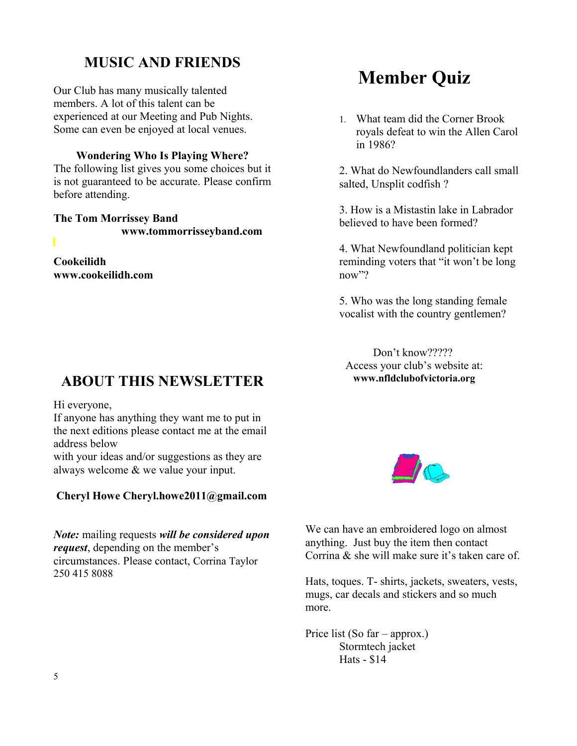### **MUSIC AND FRIENDS**

Our Club has many musically talented members. A lot of this talent can be experienced at our Meeting and Pub Nights. Some can even be enjoyed at local venues.

#### **Wondering Who Is Playing Where?**

The following list gives you some choices but it is not guaranteed to be accurate. Please confirm before attending.

**The Tom Morrissey Band www.tommorrisseyband.com** 

**Cookeilidh www.cookeilidh.com**

### **ABOUT THIS NEWSLETTER**

Hi everyone,

If anyone has anything they want me to put in the next editions please contact me at the email address below

with your ideas and/or suggestions as they are always welcome & we value your input.

#### **Cheryl Howe Cheryl.howe2011@gmail.com**

*Note:* mailing requests *will be considered upon request*, depending on the member's circumstances. Please contact, Corrina Taylor 250 415 8088

## **Member Quiz**

1. What team did the Corner Brook royals defeat to win the Allen Carol in 1986?

2. What do Newfoundlanders call small salted, Unsplit codfish ?

3. How is a Mistastin lake in Labrador believed to have been formed?

4. What Newfoundland politician kept reminding voters that "it won't be long now"?

5. Who was the long standing female vocalist with the country gentlemen?

Don't know????? Access your club's website at: **www.nfldclubofvictoria.org**



We can have an embroidered logo on almost anything. Just buy the item then contact Corrina & she will make sure it's taken care of.

Hats, toques. T- shirts, jackets, sweaters, vests, mugs, car decals and stickers and so much more.

Price list (So far – approx.) Stormtech jacket Hats - \$14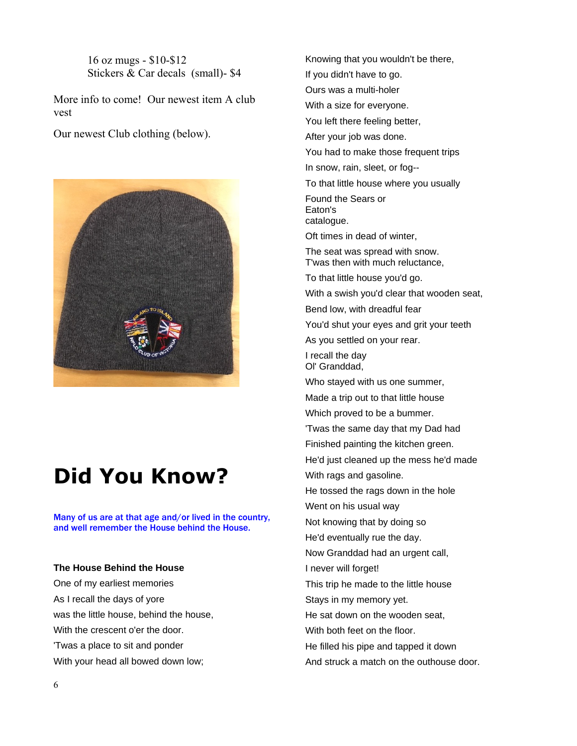16 oz mugs - \$10-\$12 Stickers & Car decals (small)- \$4

More info to come! Our newest item A club vest

Our newest Club clothing (below).



# **Did You Know?**

Many of us are at that age and/or lived in the country, and well remember the House behind the House.

#### **The House Behind the House**

One of my earliest memories As I recall the days of yore was the little house, behind the house, With the crescent o'er the door. 'Twas a place to sit and ponder With your head all bowed down low;

Knowing that you wouldn't be there,

If you didn't have to go.

Ours was a multi-holer

With a size for everyone.

You left there feeling better,

After your job was done.

You had to make those frequent trips

In snow, rain, sleet, or fog--

To that little house where you usually

Found the Sears or Eaton's catalogue.

Oft times in dead of winter,

The seat was spread with snow. T'was then with much reluctance,

To that little house you'd go.

With a swish you'd clear that wooden seat,

Bend low, with dreadful fear

You'd shut your eyes and grit your teeth

As you settled on your rear.

I recall the day Ol' Granddad,

Who stayed with us one summer,

Made a trip out to that little house

Which proved to be a bummer.

'Twas the same day that my Dad had

Finished painting the kitchen green.

He'd just cleaned up the mess he'd made

With rags and gasoline.

He tossed the rags down in the hole

Went on his usual way

Not knowing that by doing so

He'd eventually rue the day.

Now Granddad had an urgent call,

I never will forget!

This trip he made to the little house

Stays in my memory yet.

He sat down on the wooden seat,

With both feet on the floor.

He filled his pipe and tapped it down

And struck a match on the outhouse door.